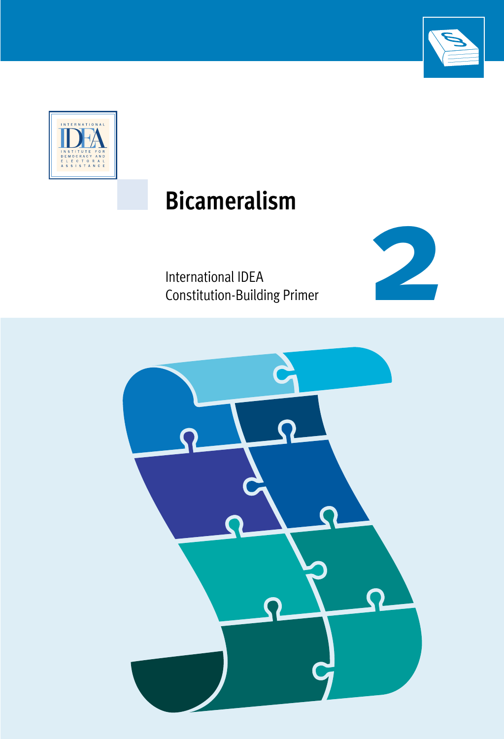



# **Bicameralism**

International IDEA Constitution-Building Primer



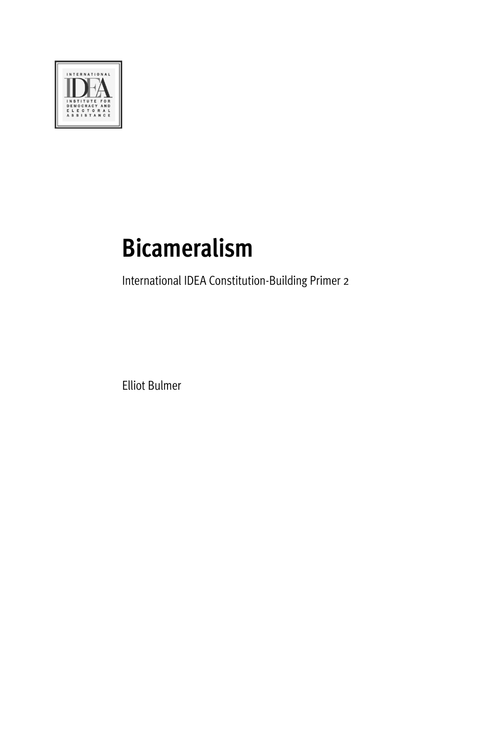

# **Bicameralism**

International IDEA Constitution-Building Primer 2

Elliot Bulmer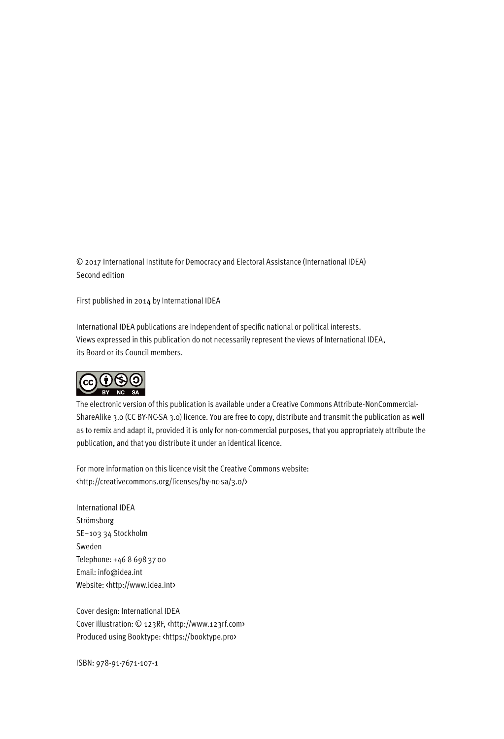© 2017 International Institute for Democracy and Electoral Assistance (International IDEA) Second edition

First published in 2014 by International IDEA

International IDEA publications are independent of specific national or political interests. Views expressed in this publication do not necessarily represent the views of International IDEA, its Board or its Council members.



The electronic version of this publication is available under a Creative Commons Attribute-NonCommercial-ShareAlike 3.0 (CC BY-NC-SA 3.0) licence. You are free to copy, distribute and transmit the publication as well as to remix and adapt it, provided it is only for non-commercial purposes, that you appropriately attribute the publication, and that you distribute it under an identical licence.

For more information on this licence visit the Creative Commons website: <http://creativecommons.org/licenses/by-nc-sa/3.0/>

International IDEA Strömsborg SE–103 34 Stockholm Sweden Telephone: +46 8 69837 00 Email: info@idea.int Website: <http://www.idea.int>

Cover design: International IDEA Cover illustration: © 123RF, <http://www.123rf.com> Produced using Booktype: <https://booktype.pro>

ISBN: 978-91-7671-107-1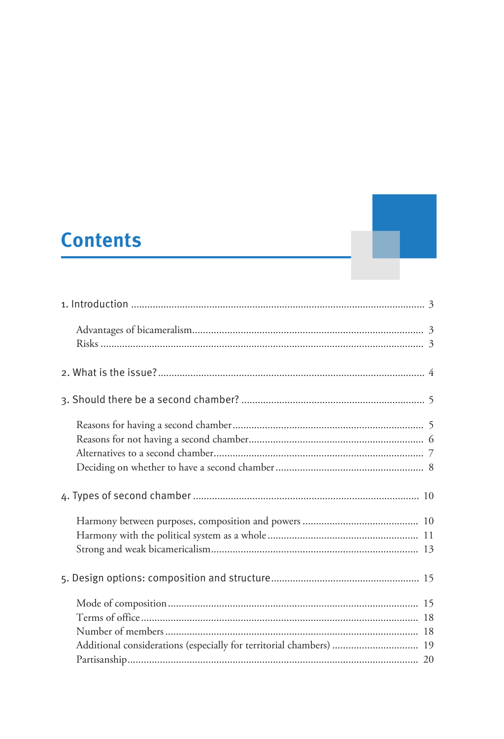# **Contents**

| Additional considerations (especially for territorial chambers)  19 |
|---------------------------------------------------------------------|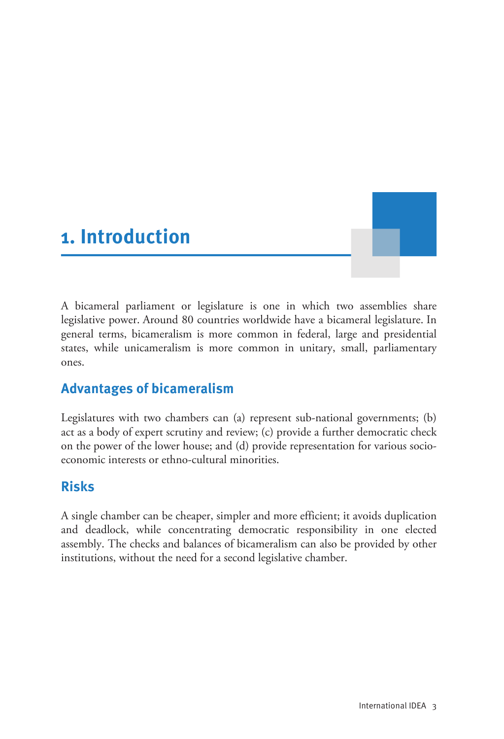# <span id="page-5-0"></span>**1. Introduction**

A bicameral parliament or legislature is one in which two assemblies share legislative power. Around 80 countries worldwide have a bicameral legislature. In general terms, bicameralism is more common in federal, large and presidential states, while unicameralism is more common in unitary, small, parliamentary ones.

# <span id="page-5-1"></span>**Advantages of bicameralism**

Legislatures with two chambers can (a) represent sub-national governments; (b) act as a body of expert scrutiny and review; (c) provide a further democratic check on the power of the lower house; and (d) provide representation for various socioeconomic interests or ethno-cultural minorities.

# <span id="page-5-2"></span>**Risks**

A single chamber can be cheaper, simpler and more efficient; it avoids duplication and deadlock, while concentrating democratic responsibility in one elected assembly. The checks and balances of bicameralism can also be provided by other institutions, without the need for a second legislative chamber.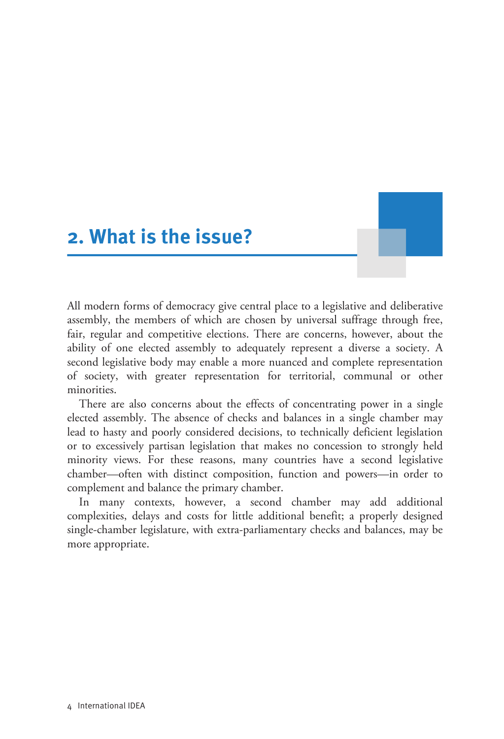# <span id="page-6-0"></span>**2. What is the issue?**

All modern forms of democracy give central place to a legislative and deliberative assembly, the members of which are chosen by universal suffrage through free, fair, regular and competitive elections. There are concerns, however, about the ability of one elected assembly to adequately represent a diverse a society. A second legislative body may enable a more nuanced and complete representation of society, with greater representation for territorial, communal or other minorities.

There are also concerns about the effects of concentrating power in a single elected assembly. The absence of checks and balances in a single chamber may lead to hasty and poorly considered decisions, to technically deficient legislation or to excessively partisan legislation that makes no concession to strongly held minority views. For these reasons, many countries have a second legislative chamber—often with distinct composition, function and powers—in order to complement and balance the primary chamber.

In many contexts, however, a second chamber may add additional complexities, delays and costs for little additional benefit; a properly designed single-chamber legislature, with extra-parliamentary checks and balances, may be more appropriate.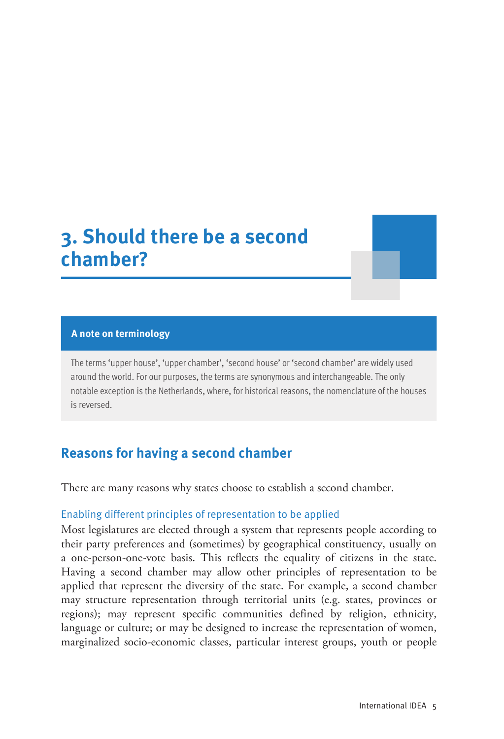# <span id="page-7-0"></span>**3. Should there be a second chamber?**

#### **A note on terminology**

The terms 'upper house', 'upper chamber', 'second house' or 'second chamber' are widely used around the world. For our purposes, the terms are synonymous and interchangeable. The only notable exception is the Netherlands, where, for historical reasons, the nomenclature of the houses is reversed.

## <span id="page-7-1"></span>**Reasons for having a second chamber**

There are many reasons why states choose to establish a second chamber.

#### Enabling different principles of representation to be applied

Most legislatures are elected through a system that represents people according to their party preferences and (sometimes) by geographical constituency, usually on a one-person-one-vote basis. This reflects the equality of citizens in the state. Having a second chamber may allow other principles of representation to be applied that represent the diversity of the state. For example, a second chamber may structure representation through territorial units (e.g. states, provinces or regions); may represent specific communities defined by religion, ethnicity, language or culture; or may be designed to increase the representation of women, marginalized socio-economic classes, particular interest groups, youth or people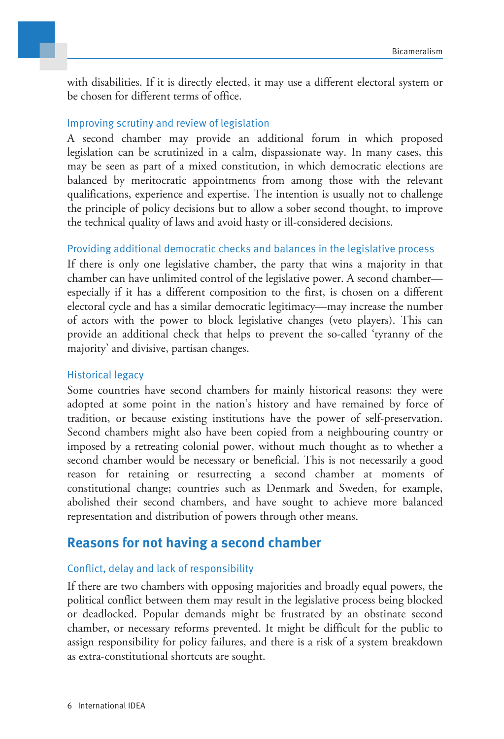with disabilities. If it is directly elected, it may use a different electoral system or be chosen for different terms of office.

#### Improving scrutiny and review of legislation

A second chamber may provide an additional forum in which proposed legislation can be scrutinized in a calm, dispassionate way. In many cases, this may be seen as part of a mixed constitution, in which democratic elections are balanced by meritocratic appointments from among those with the relevant qualifications, experience and expertise. The intention is usually not to challenge the principle of policy decisions but to allow a sober second thought, to improve the technical quality of laws and avoid hasty or ill-considered decisions.

#### Providing additional democratic checks and balances in the legislative process

If there is only one legislative chamber, the party that wins a majority in that chamber can have unlimited control of the legislative power. A second chamber especially if it has a different composition to the first, is chosen on a different electoral cycle and has a similar democratic legitimacy—may increase the number of actors with the power to block legislative changes (veto players). This can provide an additional check that helps to prevent the so-called 'tyranny of the majority' and divisive, partisan changes.

#### Historical legacy

Some countries have second chambers for mainly historical reasons: they were adopted at some point in the nation's history and have remained by force of tradition, or because existing institutions have the power of self-preservation. Second chambers might also have been copied from a neighbouring country or imposed by a retreating colonial power, without much thought as to whether a second chamber would be necessary or beneficial. This is not necessarily a good reason for retaining or resurrecting a second chamber at moments of constitutional change; countries such as Denmark and Sweden, for example, abolished their second chambers, and have sought to achieve more balanced representation and distribution of powers through other means.

### <span id="page-8-0"></span>**Reasons for not having a second chamber**

#### Conflict, delay and lack of responsibility

If there are two chambers with opposing majorities and broadly equal powers, the political conflict between them may result in the legislative process being blocked or deadlocked. Popular demands might be frustrated by an obstinate second chamber, or necessary reforms prevented. It might be difficult for the public to assign responsibility for policy failures, and there is a risk of a system breakdown as extra-constitutional shortcuts are sought.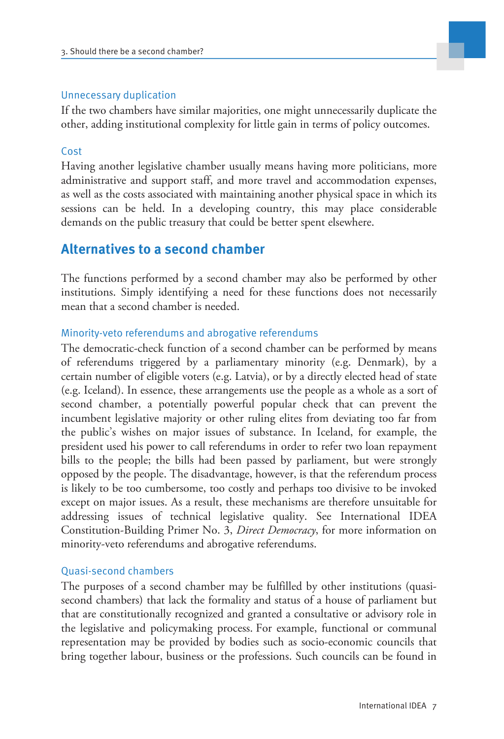#### Unnecessary duplication

If the two chambers have similar majorities, one might unnecessarily duplicate the other, adding institutional complexity for little gain in terms of policy outcomes.

#### Cost

Having another legislative chamber usually means having more politicians, more administrative and support staff, and more travel and accommodation expenses, as well as the costs associated with maintaining another physical space in which its sessions can be held. In a developing country, this may place considerable demands on the public treasury that could be better spent elsewhere.

## <span id="page-9-0"></span>**Alternatives to a second chamber**

The functions performed by a second chamber may also be performed by other institutions. Simply identifying a need for these functions does not necessarily mean that a second chamber is needed.

#### Minority-veto referendums and abrogative referendums

The democratic-check function of a second chamber can be performed by means of referendums triggered by a parliamentary minority (e.g. Denmark), by a certain number of eligible voters (e.g. Latvia), or by a directly elected head of state (e.g. Iceland). In essence, these arrangements use the people as a whole as a sort of second chamber, a potentially powerful popular check that can prevent the incumbent legislative majority or other ruling elites from deviating too far from the public's wishes on major issues of substance. In Iceland, for example, the president used his power to call referendums in order to refer two loan repayment bills to the people; the bills had been passed by parliament, but were strongly opposed by the people. The disadvantage, however, is that the referendum process is likely to be too cumbersome, too costly and perhaps too divisive to be invoked except on major issues. As a result, these mechanisms are therefore unsuitable for addressing issues of technical legislative quality. See International IDEA Constitution-Building Primer No. 3, *Direct Democracy*, for more information on minority-veto referendums and abrogative referendums.

#### Quasi-second chambers

The purposes of a second chamber may be fulfilled by other institutions (quasisecond chambers) that lack the formality and status of a house of parliament but that are constitutionally recognized and granted a consultative or advisory role in the legislative and policymaking process. For example, functional or communal representation may be provided by bodies such as socio-economic councils that bring together labour, business or the professions. Such councils can be found in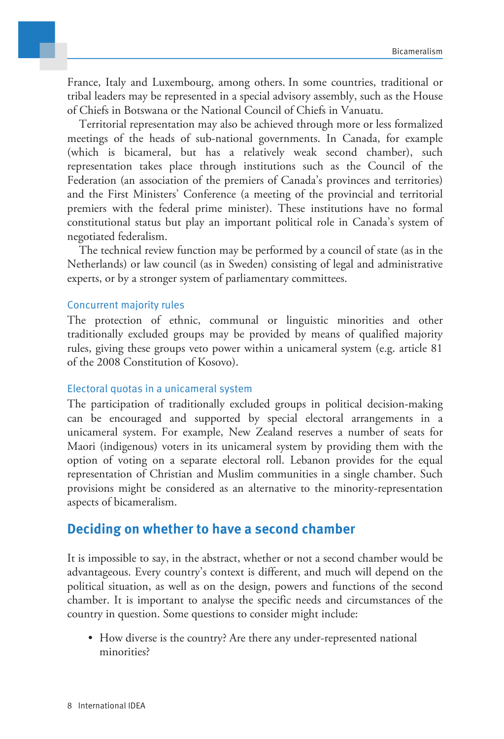France, Italy and Luxembourg, among others. In some countries, traditional or tribal leaders may be represented in a special advisory assembly, such as the House of Chiefs in Botswana or the National Council of Chiefs in Vanuatu.

Territorial representation may also be achieved through more or less formalized meetings of the heads of sub-national governments. In Canada, for example (which is bicameral, but has a relatively weak second chamber), such representation takes place through institutions such as the Council of the Federation (an association of the premiers of Canada's provinces and territories) and the First Ministers' Conference (a meeting of the provincial and territorial premiers with the federal prime minister). These institutions have no formal constitutional status but play an important political role in Canada's system of negotiated federalism.

The technical review function may be performed by a council of state (as in the Netherlands) or law council (as in Sweden) consisting of legal and administrative experts, or by a stronger system of parliamentary committees.

#### Concurrent majority rules

The protection of ethnic, communal or linguistic minorities and other traditionally excluded groups may be provided by means of qualified majority rules, giving these groups veto power within a unicameral system (e.g. article 81 of the 2008 Constitution of Kosovo).

#### Electoral quotas in a unicameral system

The participation of traditionally excluded groups in political decision-making can be encouraged and supported by special electoral arrangements in a unicameral system. For example, New Zealand reserves a number of seats for Maori (indigenous) voters in its unicameral system by providing them with the option of voting on a separate electoral roll. Lebanon provides for the equal representation of Christian and Muslim communities in a single chamber. Such provisions might be considered as an alternative to the minority-representation aspects of bicameralism.

## <span id="page-10-0"></span>**Deciding on whether to have a second chamber**

It is impossible to say, in the abstract, whether or not a second chamber would be advantageous. Every country's context is different, and much will depend on the political situation, as well as on the design, powers and functions of the second chamber. It is important to analyse the specific needs and circumstances of the country in question. Some questions to consider might include:

• How diverse is the country? Are there any under-represented national minorities?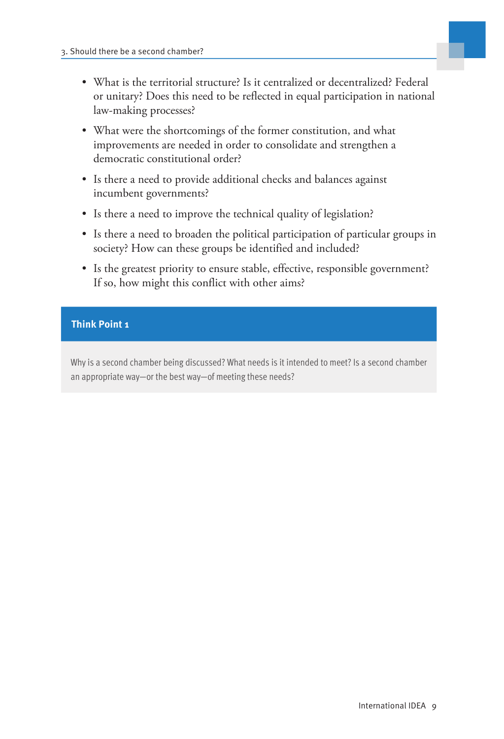

- What is the territorial structure? Is it centralized or decentralized? Federal or unitary? Does this need to be reflected in equal participation in national law-making processes?
- What were the shortcomings of the former constitution, and what improvements are needed in order to consolidate and strengthen a democratic constitutional order?
- Is there a need to provide additional checks and balances against incumbent governments?
- Is there a need to improve the technical quality of legislation?
- Is there a need to broaden the political participation of particular groups in society? How can these groups be identified and included?
- Is the greatest priority to ensure stable, effective, responsible government? If so, how might this conflict with other aims?

#### **Think Point 1**

Why is a second chamber being discussed? What needs is it intended to meet? Is a second chamber an appropriate way—or the best way—of meeting these needs?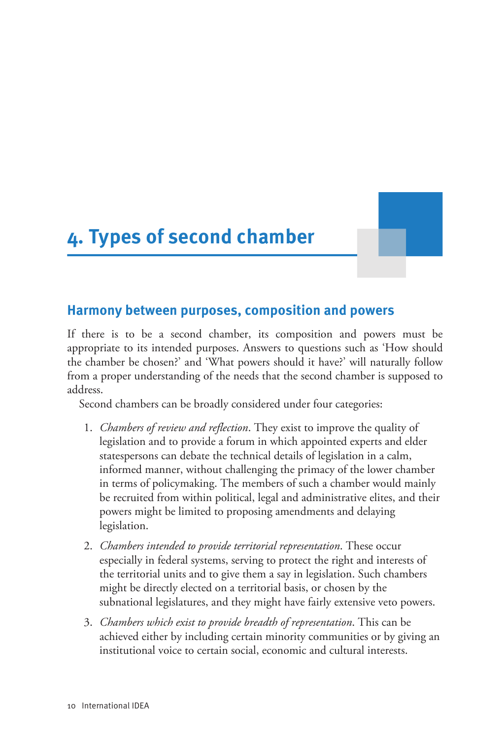# <span id="page-12-0"></span>**4. Types of second chamber**

#### <span id="page-12-1"></span>**Harmony between purposes, composition and powers**

If there is to be a second chamber, its composition and powers must be appropriate to its intended purposes. Answers to questions such as 'How should the chamber be chosen?' and 'What powers should it have?' will naturally follow from a proper understanding of the needs that the second chamber is supposed to address.

Second chambers can be broadly considered under four categories:

- 1. *Chambers of review and reflection*. They exist to improve the quality of legislation and to provide a forum in which appointed experts and elder statespersons can debate the technical details of legislation in a calm, informed manner, without challenging the primacy of the lower chamber in terms of policymaking. The members of such a chamber would mainly be recruited from within political, legal and administrative elites, and their powers might be limited to proposing amendments and delaying legislation.
- 2. *Chambers intended to provide territorial representation*. These occur especially in federal systems, serving to protect the right and interests of the territorial units and to give them a say in legislation. Such chambers might be directly elected on a territorial basis, or chosen by the subnational legislatures, and they might have fairly extensive veto powers.
- 3. *Chambers which exist to provide breadth of representation*. This can be achieved either by including certain minority communities or by giving an institutional voice to certain social, economic and cultural interests.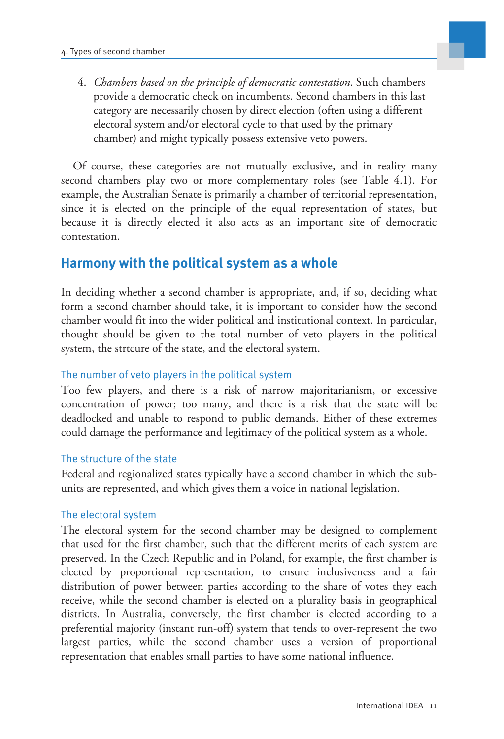

4. *Chambers based on the principle of democratic contestation*. Such chambers provide a democratic check on incumbents. Second chambers in this last category are necessarily chosen by direct election (often using a different electoral system and/or electoral cycle to that used by the primary chamber) and might typically possess extensive veto powers.

Of course, these categories are not mutually exclusive, and in reality many second chambers play two or more complementary roles (see Table 4.1). For example, the Australian Senate is primarily a chamber of territorial representation, since it is elected on the principle of the equal representation of states, but because it is directly elected it also acts as an important site of democratic contestation.

# <span id="page-13-0"></span>**Harmony with the political system as a whole**

In deciding whether a second chamber is appropriate, and, if so, deciding what form a second chamber should take, it is important to consider how the second chamber would fit into the wider political and institutional context. In particular, thought should be given to the total number of veto players in the political system, the strtcure of the state, and the electoral system.

#### The number of veto players in the political system

Too few players, and there is a risk of narrow majoritarianism, or excessive concentration of power; too many, and there is a risk that the state will be deadlocked and unable to respond to public demands. Either of these extremes could damage the performance and legitimacy of the political system as a whole.

#### The structure of the state

Federal and regionalized states typically have a second chamber in which the subunits are represented, and which gives them a voice in national legislation.

#### The electoral system

The electoral system for the second chamber may be designed to complement that used for the first chamber, such that the different merits of each system are preserved. In the Czech Republic and in Poland, for example, the first chamber is elected by proportional representation, to ensure inclusiveness and a fair distribution of power between parties according to the share of votes they each receive, while the second chamber is elected on a plurality basis in geographical districts. In Australia, conversely, the first chamber is elected according to a preferential majority (instant run-off) system that tends to over-represent the two largest parties, while the second chamber uses a version of proportional representation that enables small parties to have some national influence.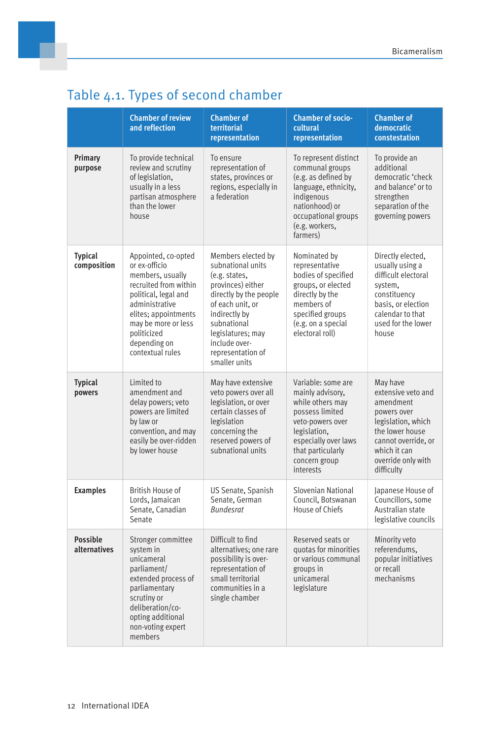|                                 | <b>Chamber of review</b><br>and reflection                                                                                                                                                                                    | <b>Chamber of</b><br>territorial<br>representation                                                                                                                                                                                      | <b>Chamber of socio-</b><br>cultural<br>representation                                                                                                                                       | <b>Chamber of</b><br>democratic<br>constestation                                                                                                                               |
|---------------------------------|-------------------------------------------------------------------------------------------------------------------------------------------------------------------------------------------------------------------------------|-----------------------------------------------------------------------------------------------------------------------------------------------------------------------------------------------------------------------------------------|----------------------------------------------------------------------------------------------------------------------------------------------------------------------------------------------|--------------------------------------------------------------------------------------------------------------------------------------------------------------------------------|
| Primary<br>purpose              | To provide technical<br>review and scrutiny<br>of legislation,<br>usually in a less<br>partisan atmosphere<br>than the lower<br>house                                                                                         | To ensure<br>representation of<br>states, provinces or<br>regions, especially in<br>a federation                                                                                                                                        | To represent distinct<br>communal groups<br>(e.g. as defined by<br>language, ethnicity,<br>indigenous<br>nationhood) or<br>occupational groups<br>(e.g. workers,<br>farmers)                 | To provide an<br>additional<br>democratic 'check<br>and balance' or to<br>strengthen<br>separation of the<br>governing powers                                                  |
| <b>Typical</b><br>composition   | Appointed, co-opted<br>or ex-officio<br>members, usually<br>recruited from within<br>political, legal and<br>administrative<br>elites; appointments<br>may be more or less<br>politicized<br>depending on<br>contextual rules | Members elected by<br>subnational units<br>(e.g. states,<br>provinces) either<br>directly by the people<br>of each unit, or<br>indirectly by<br>subnational<br>legislatures; may<br>include over-<br>representation of<br>smaller units | Nominated by<br>representative<br>bodies of specified<br>groups, or elected<br>directly by the<br>members of<br>specified groups<br>(e.g. on a special<br>electoral roll)                    | Directly elected,<br>usually using a<br>difficult electoral<br>system,<br>constituency<br>basis, or election<br>calendar to that<br>used for the lower<br>house                |
| <b>Typical</b><br>powers        | Limited to<br>amendment and<br>delay powers; veto<br>powers are limited<br>by law or<br>convention, and may<br>easily be over-ridden<br>by lower house                                                                        | May have extensive<br>veto powers over all<br>legislation, or over<br>certain classes of<br>legislation<br>concerning the<br>reserved powers of<br>subnational units                                                                    | Variable: some are<br>mainly advisory,<br>while others may<br>possess limited<br>veto-powers over<br>legislation,<br>especially over laws<br>that particularly<br>concern group<br>interests | May have<br>extensive veto and<br>amendment<br>powers over<br>legislation, which<br>the lower house<br>cannot override, or<br>which it can<br>override only with<br>difficulty |
| <b>Examples</b>                 | British House of<br>Lords, Jamaican<br>Senate, Canadian<br>Senate                                                                                                                                                             | US Senate, Spanish<br>Senate, German<br><b>Bundesrat</b>                                                                                                                                                                                | Slovenian National<br>Council, Botswanan<br>House of Chiefs                                                                                                                                  | Japanese House of<br>Councillors, some<br>Australian state<br>legislative councils                                                                                             |
| <b>Possible</b><br>alternatives | Stronger committee<br>system in<br>unicameral<br>parliament/<br>extended process of<br>parliamentary<br>scrutiny or<br>deliberation/co-<br>opting additional<br>non-voting expert<br>members                                  | Difficult to find<br>alternatives; one rare<br>possibility is over-<br>representation of<br>small territorial<br>communities in a<br>single chamber                                                                                     | Reserved seats or<br>quotas for minorities<br>or various communal<br>groups in<br>unicameral<br>legislature                                                                                  | Minority veto<br>referendums,<br>popular initiatives<br>or recall<br>mechanisms                                                                                                |

# Table 4.1. Types of second chamber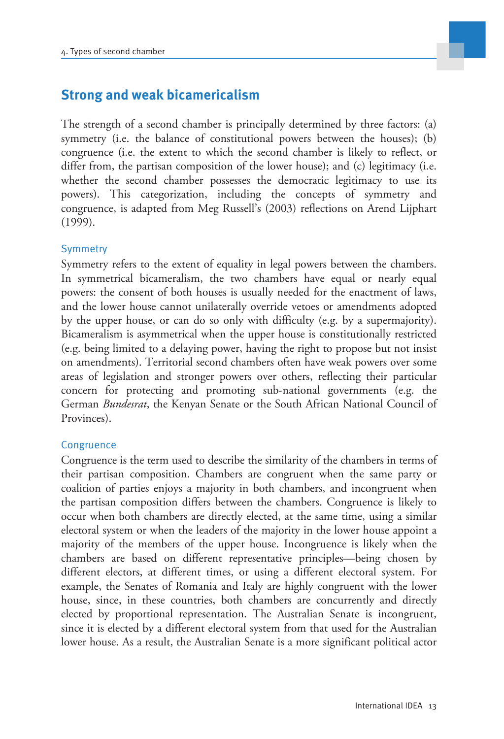

# <span id="page-15-0"></span>**Strong and weak bicamericalism**

The strength of a second chamber is principally determined by three factors: (a) symmetry (i.e. the balance of constitutional powers between the houses); (b) congruence (i.e. the extent to which the second chamber is likely to reflect, or differ from, the partisan composition of the lower house); and (c) legitimacy (i.e. whether the second chamber possesses the democratic legitimacy to use its powers). This categorization, including the concepts of symmetry and congruence, is adapted from Meg Russell's (2003) reflections on Arend Lijphart (1999).

#### **Symmetry**

Symmetry refers to the extent of equality in legal powers between the chambers. In symmetrical bicameralism, the two chambers have equal or nearly equal powers: the consent of both houses is usually needed for the enactment of laws, and the lower house cannot unilaterally override vetoes or amendments adopted by the upper house, or can do so only with difficulty (e.g. by a supermajority). Bicameralism is asymmetrical when the upper house is constitutionally restricted (e.g. being limited to a delaying power, having the right to propose but not insist on amendments). Territorial second chambers often have weak powers over some areas of legislation and stronger powers over others, reflecting their particular concern for protecting and promoting sub-national governments (e.g. the German *Bundesrat*, the Kenyan Senate or the South African National Council of Provinces).

#### **Congruence**

Congruence is the term used to describe the similarity of the chambers in terms of their partisan composition. Chambers are congruent when the same party or coalition of parties enjoys a majority in both chambers, and incongruent when the partisan composition differs between the chambers. Congruence is likely to occur when both chambers are directly elected, at the same time, using a similar electoral system or when the leaders of the majority in the lower house appoint a majority of the members of the upper house. Incongruence is likely when the chambers are based on different representative principles—being chosen by different electors, at different times, or using a different electoral system. For example, the Senates of Romania and Italy are highly congruent with the lower house, since, in these countries, both chambers are concurrently and directly elected by proportional representation. The Australian Senate is incongruent, since it is elected by a different electoral system from that used for the Australian lower house. As a result, the Australian Senate is a more significant political actor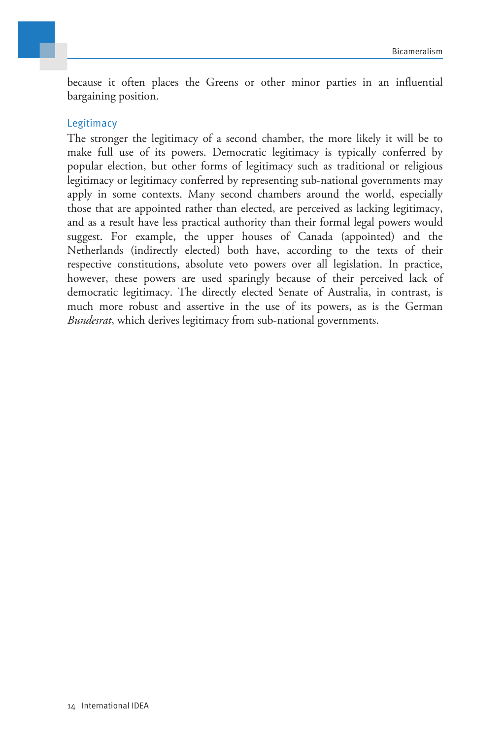

because it often places the Greens or other minor parties in an influential bargaining position.

#### Legitimacy

The stronger the legitimacy of a second chamber, the more likely it will be to make full use of its powers. Democratic legitimacy is typically conferred by popular election, but other forms of legitimacy such as traditional or religious legitimacy or legitimacy conferred by representing sub-national governments may apply in some contexts. Many second chambers around the world, especially those that are appointed rather than elected, are perceived as lacking legitimacy, and as a result have less practical authority than their formal legal powers would suggest. For example, the upper houses of Canada (appointed) and the Netherlands (indirectly elected) both have, according to the texts of their respective constitutions, absolute veto powers over all legislation. In practice, however, these powers are used sparingly because of their perceived lack of democratic legitimacy. The directly elected Senate of Australia, in contrast, is much more robust and assertive in the use of its powers, as is the German *Bundesrat*, which derives legitimacy from sub-national governments.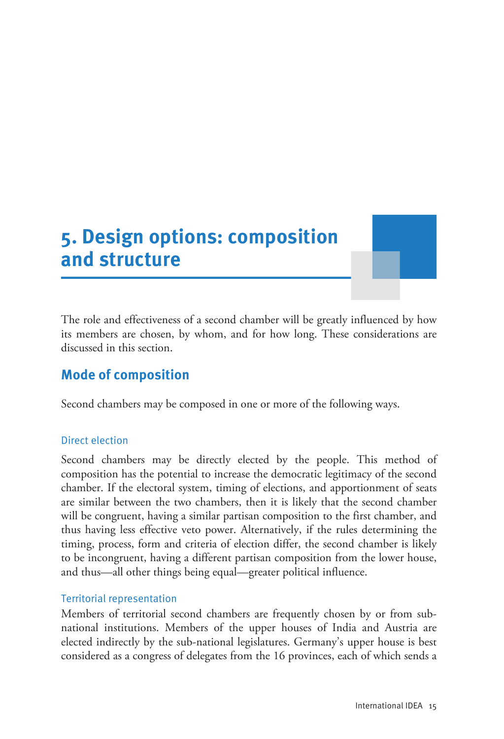# <span id="page-17-0"></span>**5. Design options: composition and structure**

The role and effectiveness of a second chamber will be greatly influenced by how its members are chosen, by whom, and for how long. These considerations are discussed in this section.

# <span id="page-17-1"></span>**Mode of composition**

Second chambers may be composed in one or more of the following ways.

#### Direct election

Second chambers may be directly elected by the people. This method of composition has the potential to increase the democratic legitimacy of the second chamber. If the electoral system, timing of elections, and apportionment of seats are similar between the two chambers, then it is likely that the second chamber will be congruent, having a similar partisan composition to the first chamber, and thus having less effective veto power. Alternatively, if the rules determining the timing, process, form and criteria of election differ, the second chamber is likely to be incongruent, having a different partisan composition from the lower house, and thus—all other things being equal—greater political influence.

#### Territorial representation

Members of territorial second chambers are frequently chosen by or from subnational institutions. Members of the upper houses of India and Austria are elected indirectly by the sub-national legislatures. Germany's upper house is best considered as a congress of delegates from the 16 provinces, each of which sends a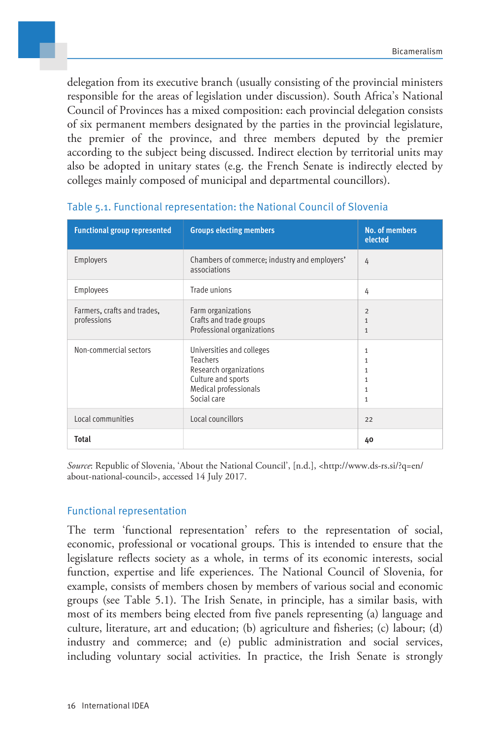delegation from its executive branch (usually consisting of the provincial ministers responsible for the areas of legislation under discussion). South Africa's National Council of Provinces has a mixed composition: each provincial delegation consists of six permanent members designated by the parties in the provincial legislature, the premier of the province, and three members deputed by the premier according to the subject being discussed. Indirect election by territorial units may also be adopted in unitary states (e.g. the French Senate is indirectly elected by colleges mainly composed of municipal and departmental councillors).

| <b>Functional group represented</b>        | <b>Groups electing members</b>                                                                                                       | <b>No. of members</b><br>elected                                                  |
|--------------------------------------------|--------------------------------------------------------------------------------------------------------------------------------------|-----------------------------------------------------------------------------------|
| Employers                                  | Chambers of commerce; industry and employers'<br>associations                                                                        | 4                                                                                 |
| Employees                                  | Trade unions                                                                                                                         | 4                                                                                 |
| Farmers, crafts and trades,<br>professions | Farm organizations<br>Crafts and trade groups<br>Professional organizations                                                          | $\overline{2}$<br>$\mathbf{1}$<br>$\mathbf{1}$                                    |
| Non-commercial sectors                     | Universities and colleges<br><b>Teachers</b><br>Research organizations<br>Culture and sports<br>Medical professionals<br>Social care | $\mathbf{1}$<br>$\mathbf{1}$<br>1<br>$\mathbf{1}$<br>$\mathbf{1}$<br>$\mathbf{1}$ |
| Local communities                          | Local councillors                                                                                                                    | 22                                                                                |
| <b>Total</b>                               |                                                                                                                                      | 40                                                                                |

#### Table 5.1. Functional representation: the National Council of Slovenia

*Source*: Republic of Slovenia, 'About the National Council', [n.d.], <http://www.ds-rs.si/?q=en/ about-national-council>, accessed 14 July 2017.

#### Functional representation

The term 'functional representation' refers to the representation of social, economic, professional or vocational groups. This is intended to ensure that the legislature reflects society as a whole, in terms of its economic interests, social function, expertise and life experiences. The National Council of Slovenia, for example, consists of members chosen by members of various social and economic groups (see Table 5.1). The Irish Senate, in principle, has a similar basis, with most of its members being elected from five panels representing (a) language and culture, literature, art and education; (b) agriculture and fisheries; (c) labour; (d) industry and commerce; and (e) public administration and social services, including voluntary social activities. In practice, the Irish Senate is strongly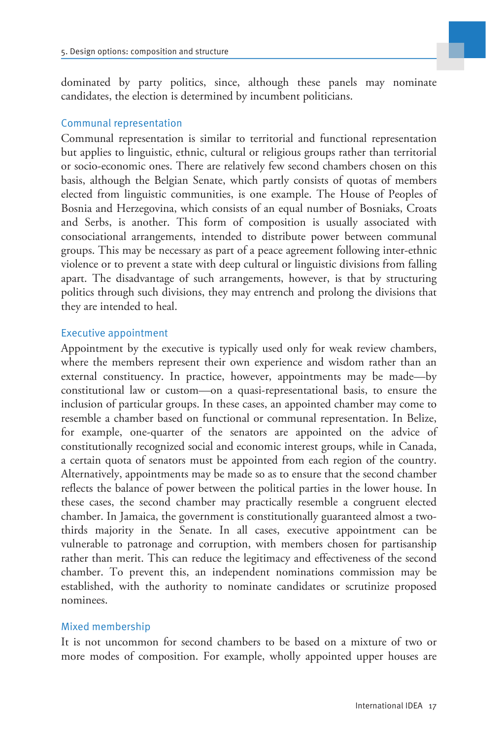dominated by party politics, since, although these panels may nominate candidates, the election is determined by incumbent politicians.

#### Communal representation

Communal representation is similar to territorial and functional representation but applies to linguistic, ethnic, cultural or religious groups rather than territorial or socio-economic ones. There are relatively few second chambers chosen on this basis, although the Belgian Senate, which partly consists of quotas of members elected from linguistic communities, is one example. The House of Peoples of Bosnia and Herzegovina, which consists of an equal number of Bosniaks, Croats and Serbs, is another. This form of composition is usually associated with consociational arrangements, intended to distribute power between communal groups. This may be necessary as part of a peace agreement following inter-ethnic violence or to prevent a state with deep cultural or linguistic divisions from falling apart. The disadvantage of such arrangements, however, is that by structuring politics through such divisions, they may entrench and prolong the divisions that they are intended to heal.

#### Executive appointment

Appointment by the executive is typically used only for weak review chambers, where the members represent their own experience and wisdom rather than an external constituency. In practice, however, appointments may be made—by constitutional law or custom—on a quasi-representational basis, to ensure the inclusion of particular groups. In these cases, an appointed chamber may come to resemble a chamber based on functional or communal representation. In Belize, for example, one-quarter of the senators are appointed on the advice of constitutionally recognized social and economic interest groups, while in Canada, a certain quota of senators must be appointed from each region of the country. Alternatively, appointments may be made so as to ensure that the second chamber reflects the balance of power between the political parties in the lower house. In these cases, the second chamber may practically resemble a congruent elected chamber. In Jamaica, the government is constitutionally guaranteed almost a twothirds majority in the Senate. In all cases, executive appointment can be vulnerable to patronage and corruption, with members chosen for partisanship rather than merit. This can reduce the legitimacy and effectiveness of the second chamber. To prevent this, an independent nominations commission may be established, with the authority to nominate candidates or scrutinize proposed nominees.

#### Mixed membership

It is not uncommon for second chambers to be based on a mixture of two or more modes of composition. For example, wholly appointed upper houses are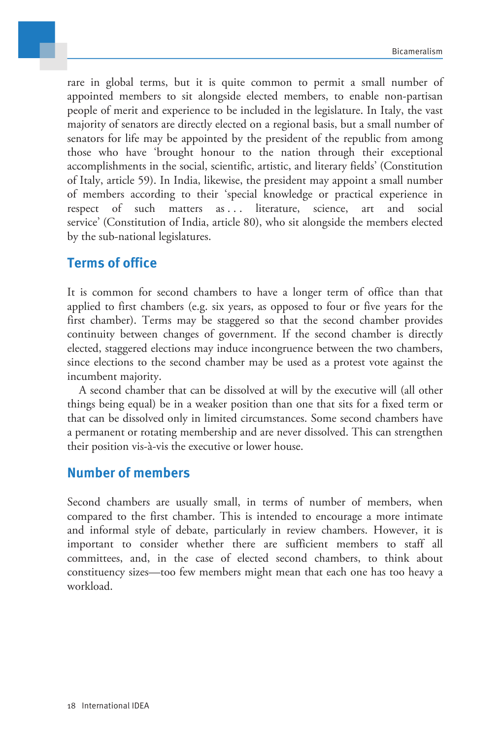

rare in global terms, but it is quite common to permit a small number of appointed members to sit alongside elected members, to enable non-partisan people of merit and experience to be included in the legislature. In Italy, the vast majority of senators are directly elected on a regional basis, but a small number of senators for life may be appointed by the president of the republic from among those who have 'brought honour to the nation through their exceptional accomplishments in the social, scientific, artistic, and literary fields' (Constitution of Italy, article 59). In India, likewise, the president may appoint a small number of members according to their 'special knowledge or practical experience in respect of such matters as ... literature, science, art and social service' (Constitution of India, article 80), who sit alongside the members elected by the sub-national legislatures.

### <span id="page-20-0"></span>**Terms of office**

It is common for second chambers to have a longer term of office than that applied to first chambers (e.g. six years, as opposed to four or five years for the first chamber). Terms may be staggered so that the second chamber provides continuity between changes of government. If the second chamber is directly elected, staggered elections may induce incongruence between the two chambers, since elections to the second chamber may be used as a protest vote against the incumbent majority.

A second chamber that can be dissolved at will by the executive will (all other things being equal) be in a weaker position than one that sits for a fixed term or that can be dissolved only in limited circumstances. Some second chambers have a permanent or rotating membership and are never dissolved. This can strengthen their position vis-à-vis the executive or lower house.

### <span id="page-20-1"></span>**Number of members**

Second chambers are usually small, in terms of number of members, when compared to the first chamber. This is intended to encourage a more intimate and informal style of debate, particularly in review chambers. However, it is important to consider whether there are sufficient members to staff all committees, and, in the case of elected second chambers, to think about constituency sizes—too few members might mean that each one has too heavy a workload.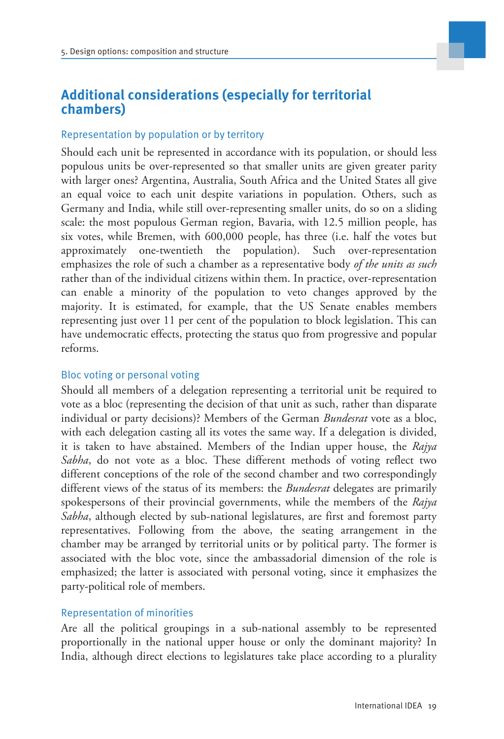# <span id="page-21-0"></span>**Additional considerations (especially for territorial chambers)**

#### Representation by population or by territory

Should each unit be represented in accordance with its population, or should less populous units be over-represented so that smaller units are given greater parity with larger ones? Argentina, Australia, South Africa and the United States all give an equal voice to each unit despite variations in population. Others, such as Germany and India, while still over-representing smaller units, do so on a sliding scale: the most populous German region, Bavaria, with 12.5 million people, has six votes, while Bremen, with 600,000 people, has three (i.e. half the votes but approximately one-twentieth the population). Such over-representation emphasizes the role of such a chamber as a representative body *of the units as such* rather than of the individual citizens within them. In practice, over-representation can enable a minority of the population to veto changes approved by the majority. It is estimated, for example, that the US Senate enables members representing just over 11 per cent of the population to block legislation. This can have undemocratic effects, protecting the status quo from progressive and popular reforms.

#### Bloc voting or personal voting

Should all members of a delegation representing a territorial unit be required to vote as a bloc (representing the decision of that unit as such, rather than disparate individual or party decisions)? Members of the German *Bundesrat* vote as a bloc, with each delegation casting all its votes the same way. If a delegation is divided, it is taken to have abstained. Members of the Indian upper house, the *Rajya Sabha*, do not vote as a bloc. These different methods of voting reflect two different conceptions of the role of the second chamber and two correspondingly different views of the status of its members: the *Bundesrat* delegates are primarily spokespersons of their provincial governments, while the members of the *Rajya Sabha*, although elected by sub-national legislatures, are first and foremost party representatives. Following from the above, the seating arrangement in the chamber may be arranged by territorial units or by political party. The former is associated with the bloc vote, since the ambassadorial dimension of the role is emphasized; the latter is associated with personal voting, since it emphasizes the party-political role of members.

#### Representation of minorities

Are all the political groupings in a sub-national assembly to be represented proportionally in the national upper house or only the dominant majority? In India, although direct elections to legislatures take place according to a plurality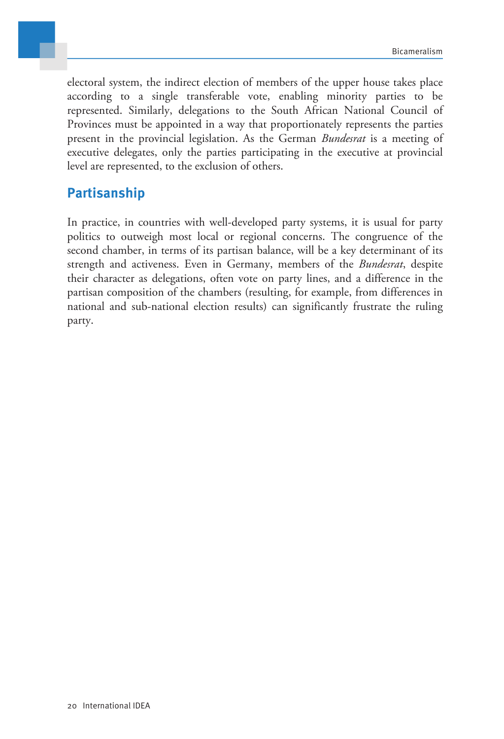

electoral system, the indirect election of members of the upper house takes place according to a single transferable vote, enabling minority parties to be represented. Similarly, delegations to the South African National Council of Provinces must be appointed in a way that proportionately represents the parties present in the provincial legislation. As the German *Bundesrat* is a meeting of executive delegates, only the parties participating in the executive at provincial level are represented, to the exclusion of others.

# <span id="page-22-0"></span>**Partisanship**

In practice, in countries with well-developed party systems, it is usual for party politics to outweigh most local or regional concerns. The congruence of the second chamber, in terms of its partisan balance, will be a key determinant of its strength and activeness. Even in Germany, members of the *Bundesrat*, despite their character as delegations, often vote on party lines, and a difference in the partisan composition of the chambers (resulting, for example, from differences in national and sub-national election results) can significantly frustrate the ruling party.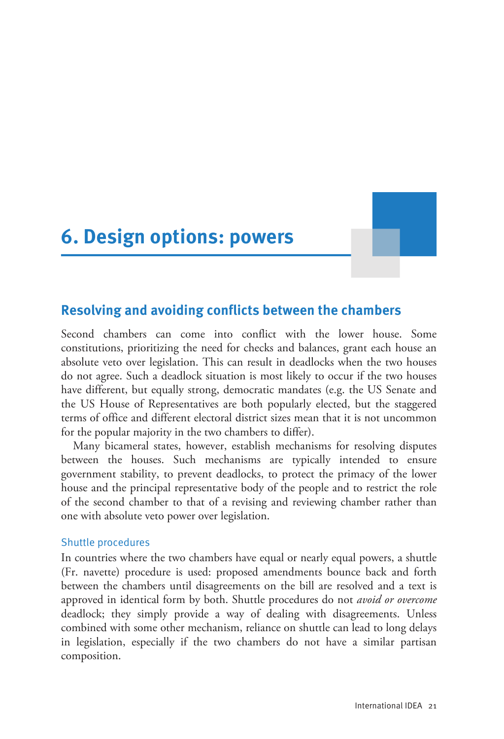<span id="page-23-0"></span>**6. Design options: powers**

### <span id="page-23-1"></span>**Resolving and avoiding conflicts between the chambers**

Second chambers can come into conflict with the lower house. Some constitutions, prioritizing the need for checks and balances, grant each house an absolute veto over legislation. This can result in deadlocks when the two houses do not agree. Such a deadlock situation is most likely to occur if the two houses have different, but equally strong, democratic mandates (e.g. the US Senate and the US House of Representatives are both popularly elected, but the staggered terms of office and different electoral district sizes mean that it is not uncommon for the popular majority in the two chambers to differ).

Many bicameral states, however, establish mechanisms for resolving disputes between the houses. Such mechanisms are typically intended to ensure government stability, to prevent deadlocks, to protect the primacy of the lower house and the principal representative body of the people and to restrict the role of the second chamber to that of a revising and reviewing chamber rather than one with absolute veto power over legislation.

#### Shuttle procedures

In countries where the two chambers have equal or nearly equal powers, a shuttle (Fr. navette) procedure is used: proposed amendments bounce back and forth between the chambers until disagreements on the bill are resolved and a text is approved in identical form by both. Shuttle procedures do not *avoid or overcome* deadlock; they simply provide a way of dealing with disagreements. Unless combined with some other mechanism, reliance on shuttle can lead to long delays in legislation, especially if the two chambers do not have a similar partisan composition.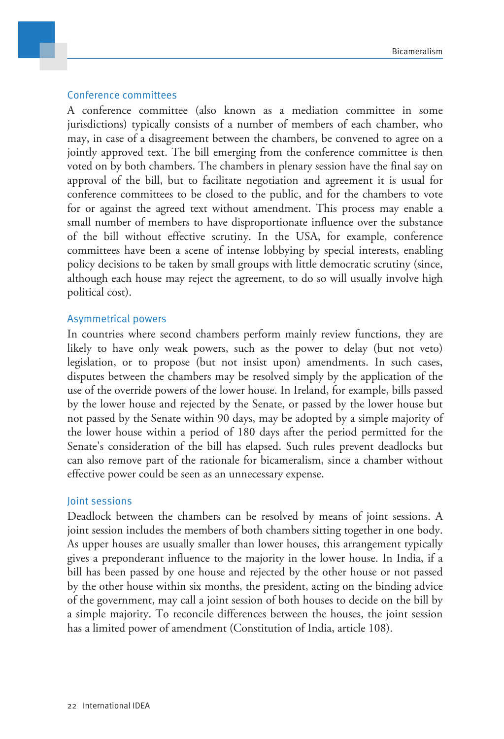#### Conference committees

A conference committee (also known as a mediation committee in some jurisdictions) typically consists of a number of members of each chamber, who may, in case of a disagreement between the chambers, be convened to agree on a jointly approved text. The bill emerging from the conference committee is then voted on by both chambers. The chambers in plenary session have the final say on approval of the bill, but to facilitate negotiation and agreement it is usual for conference committees to be closed to the public, and for the chambers to vote for or against the agreed text without amendment. This process may enable a small number of members to have disproportionate influence over the substance of the bill without effective scrutiny. In the USA, for example, conference committees have been a scene of intense lobbying by special interests, enabling policy decisions to be taken by small groups with little democratic scrutiny (since, although each house may reject the agreement, to do so will usually involve high political cost).

#### Asymmetrical powers

In countries where second chambers perform mainly review functions, they are likely to have only weak powers, such as the power to delay (but not veto) legislation, or to propose (but not insist upon) amendments. In such cases, disputes between the chambers may be resolved simply by the application of the use of the override powers of the lower house. In Ireland, for example, bills passed by the lower house and rejected by the Senate, or passed by the lower house but not passed by the Senate within 90 days, may be adopted by a simple majority of the lower house within a period of 180 days after the period permitted for the Senate's consideration of the bill has elapsed. Such rules prevent deadlocks but can also remove part of the rationale for bicameralism, since a chamber without effective power could be seen as an unnecessary expense.

#### Joint sessions

Deadlock between the chambers can be resolved by means of joint sessions. A joint session includes the members of both chambers sitting together in one body. As upper houses are usually smaller than lower houses, this arrangement typically gives a preponderant influence to the majority in the lower house. In India, if a bill has been passed by one house and rejected by the other house or not passed by the other house within six months, the president, acting on the binding advice of the government, may call a joint session of both houses to decide on the bill by a simple majority. To reconcile differences between the houses, the joint session has a limited power of amendment (Constitution of India, article 108).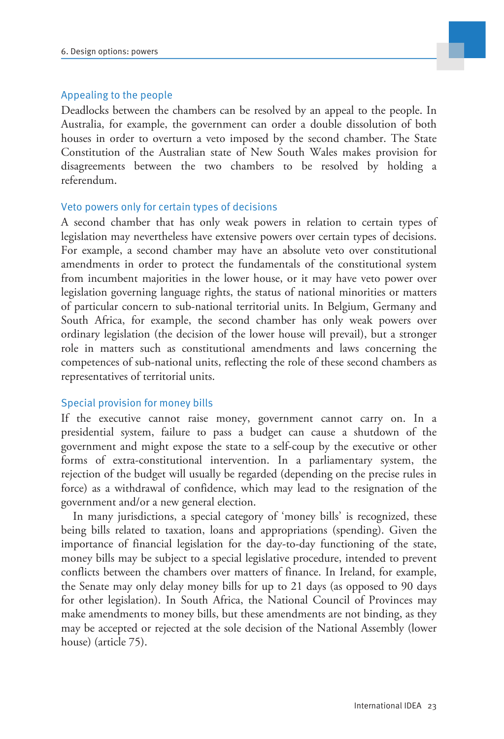

#### Appealing to the people

Deadlocks between the chambers can be resolved by an appeal to the people. In Australia, for example, the government can order a double dissolution of both houses in order to overturn a veto imposed by the second chamber. The State Constitution of the Australian state of New South Wales makes provision for disagreements between the two chambers to be resolved by holding a referendum.

#### Veto powers only for certain types of decisions

A second chamber that has only weak powers in relation to certain types of legislation may nevertheless have extensive powers over certain types of decisions. For example, a second chamber may have an absolute veto over constitutional amendments in order to protect the fundamentals of the constitutional system from incumbent majorities in the lower house, or it may have veto power over legislation governing language rights, the status of national minorities or matters of particular concern to sub-national territorial units. In Belgium, Germany and South Africa, for example, the second chamber has only weak powers over ordinary legislation (the decision of the lower house will prevail), but a stronger role in matters such as constitutional amendments and laws concerning the competences of sub-national units, reflecting the role of these second chambers as representatives of territorial units.

#### Special provision for money bills

If the executive cannot raise money, government cannot carry on. In a presidential system, failure to pass a budget can cause a shutdown of the government and might expose the state to a self-coup by the executive or other forms of extra-constitutional intervention. In a parliamentary system, the rejection of the budget will usually be regarded (depending on the precise rules in force) as a withdrawal of confidence, which may lead to the resignation of the government and/or a new general election.

In many jurisdictions, a special category of 'money bills' is recognized, these being bills related to taxation, loans and appropriations (spending). Given the importance of financial legislation for the day-to-day functioning of the state, money bills may be subject to a special legislative procedure, intended to prevent conflicts between the chambers over matters of finance. In Ireland, for example, the Senate may only delay money bills for up to 21 days (as opposed to 90 days for other legislation). In South Africa, the National Council of Provinces may make amendments to money bills, but these amendments are not binding, as they may be accepted or rejected at the sole decision of the National Assembly (lower house) (article 75).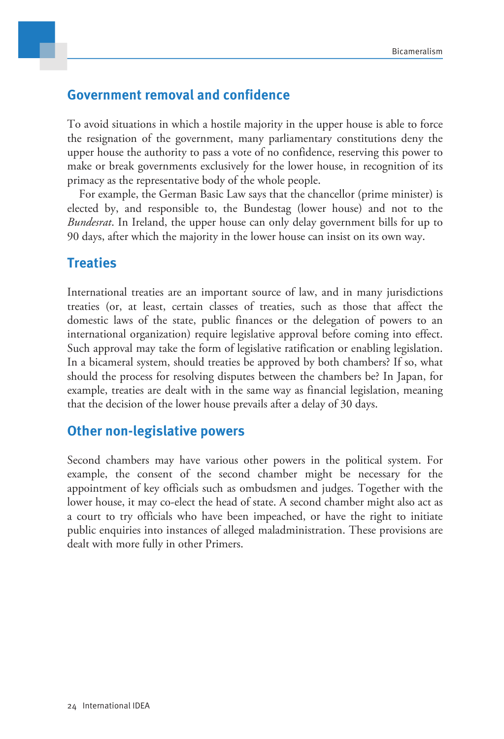### <span id="page-26-0"></span>**Government removal and confidence**

To avoid situations in which a hostile majority in the upper house is able to force the resignation of the government, many parliamentary constitutions deny the upper house the authority to pass a vote of no confidence, reserving this power to make or break governments exclusively for the lower house, in recognition of its primacy as the representative body of the whole people.

For example, the German Basic Law says that the chancellor (prime minister) is elected by, and responsible to, the Bundestag (lower house) and not to the *Bundesrat*. In Ireland, the upper house can only delay government bills for up to 90 days, after which the majority in the lower house can insist on its own way.

### <span id="page-26-1"></span>**Treaties**

International treaties are an important source of law, and in many jurisdictions treaties (or, at least, certain classes of treaties, such as those that affect the domestic laws of the state, public finances or the delegation of powers to an international organization) require legislative approval before coming into effect. Such approval may take the form of legislative ratification or enabling legislation. In a bicameral system, should treaties be approved by both chambers? If so, what should the process for resolving disputes between the chambers be? In Japan, for example, treaties are dealt with in the same way as financial legislation, meaning that the decision of the lower house prevails after a delay of 30 days.

### <span id="page-26-2"></span>**Other non-legislative powers**

Second chambers may have various other powers in the political system. For example, the consent of the second chamber might be necessary for the appointment of key officials such as ombudsmen and judges. Together with the lower house, it may co-elect the head of state. A second chamber might also act as a court to try officials who have been impeached, or have the right to initiate public enquiries into instances of alleged maladministration. These provisions are dealt with more fully in other Primers.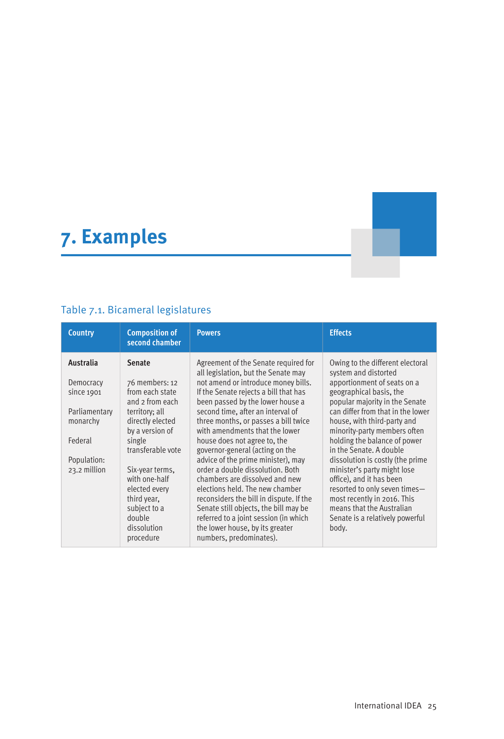# <span id="page-27-0"></span>**7. Examples**

# Table 7.1. Bicameral legislatures

| <b>Country</b>                                                                                              | <b>Composition of</b><br>second chamber                                                                                                                                                                                                                     | <b>Powers</b>                                                                                                                                                                                                                                                                                                                                                                                                                                                                                                                                                                                                                                                 | <b>Effects</b>                                                                                                                                                                                                                                                                                                                                                                                                                                                                                                                                     |
|-------------------------------------------------------------------------------------------------------------|-------------------------------------------------------------------------------------------------------------------------------------------------------------------------------------------------------------------------------------------------------------|---------------------------------------------------------------------------------------------------------------------------------------------------------------------------------------------------------------------------------------------------------------------------------------------------------------------------------------------------------------------------------------------------------------------------------------------------------------------------------------------------------------------------------------------------------------------------------------------------------------------------------------------------------------|----------------------------------------------------------------------------------------------------------------------------------------------------------------------------------------------------------------------------------------------------------------------------------------------------------------------------------------------------------------------------------------------------------------------------------------------------------------------------------------------------------------------------------------------------|
| Australia<br>Democracy<br>since 1901<br>Parliamentary<br>monarchy<br>Federal<br>Population:<br>23.2 million | <b>Senate</b><br>76 members: 12<br>from each state<br>and 2 from each<br>territory; all<br>directly elected<br>by a version of<br>single<br>transferable vote<br>Six-year terms,<br>with one-half<br>elected every<br>third year,<br>subject to a<br>double | Agreement of the Senate required for<br>all legislation, but the Senate may<br>not amend or introduce money bills.<br>If the Senate rejects a bill that has<br>been passed by the lower house a<br>second time, after an interval of<br>three months, or passes a bill twice<br>with amendments that the lower<br>house does not agree to, the<br>governor-general (acting on the<br>advice of the prime minister), may<br>order a double dissolution. Both<br>chambers are dissolved and new<br>elections held. The new chamber<br>reconsiders the bill in dispute. If the<br>Senate still objects, the bill may be<br>referred to a joint session (in which | Owing to the different electoral<br>system and distorted<br>apportionment of seats on a<br>geographical basis, the<br>popular majority in the Senate<br>can differ from that in the lower<br>house, with third-party and<br>minority-party members often<br>holding the balance of power<br>in the Senate, A double<br>dissolution is costly (the prime<br>minister's party might lose<br>office), and it has been<br>resorted to only seven times-<br>most recently in 2016. This<br>means that the Australian<br>Senate is a relatively powerful |
|                                                                                                             | dissolution<br>procedure                                                                                                                                                                                                                                    | the lower house, by its greater<br>numbers, predominates).                                                                                                                                                                                                                                                                                                                                                                                                                                                                                                                                                                                                    | body.                                                                                                                                                                                                                                                                                                                                                                                                                                                                                                                                              |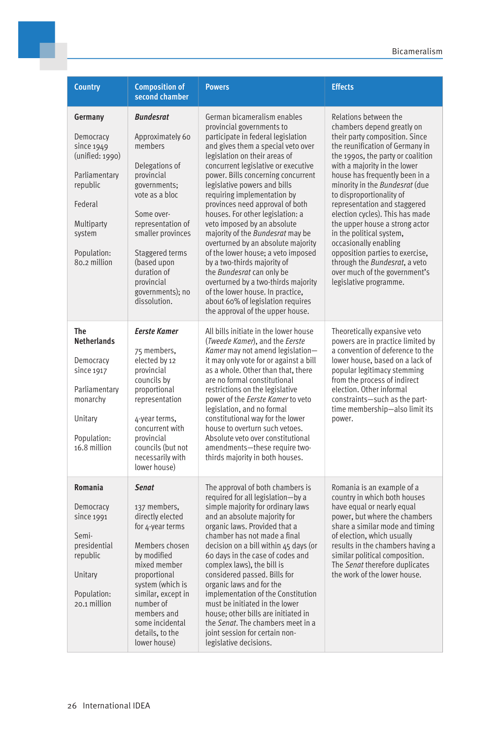| <b>Country</b>                                                                                                                                       | <b>Composition of</b><br>second chamber                                                                                                                                                                                                                                      | <b>Powers</b>                                                                                                                                                                                                                                                                                                                                                                                                                                                                                                                                                                                                                                                                                                                                           | <b>Effects</b>                                                                                                                                                                                                                                                                                                                                                                                                                                                                                                                                                                         |
|------------------------------------------------------------------------------------------------------------------------------------------------------|------------------------------------------------------------------------------------------------------------------------------------------------------------------------------------------------------------------------------------------------------------------------------|---------------------------------------------------------------------------------------------------------------------------------------------------------------------------------------------------------------------------------------------------------------------------------------------------------------------------------------------------------------------------------------------------------------------------------------------------------------------------------------------------------------------------------------------------------------------------------------------------------------------------------------------------------------------------------------------------------------------------------------------------------|----------------------------------------------------------------------------------------------------------------------------------------------------------------------------------------------------------------------------------------------------------------------------------------------------------------------------------------------------------------------------------------------------------------------------------------------------------------------------------------------------------------------------------------------------------------------------------------|
| Germany<br>Democracy<br>since 1949<br>(unified: 1990)<br>Parliamentary<br>republic<br>Federal<br>Multiparty<br>system<br>Population:<br>80.2 million | <b>Bundesrat</b><br>Approximately 60<br>members<br>Delegations of<br>provincial<br>governments;<br>vote as a bloc<br>Some over-<br>representation of<br>smaller provinces<br>Staggered terms<br>(based upon<br>duration of<br>provincial<br>governments); no<br>dissolution. | German bicameralism enables<br>provincial governments to<br>participate in federal legislation<br>and gives them a special veto over<br>legislation on their areas of<br>concurrent legislative or executive<br>power. Bills concerning concurrent<br>legislative powers and bills<br>requiring implementation by<br>provinces need approval of both<br>houses. For other legislation: a<br>veto imposed by an absolute<br>majority of the Bundesrat may be<br>overturned by an absolute majority<br>of the lower house; a veto imposed<br>by a two-thirds majority of<br>the Bundesrat can only be<br>overturned by a two-thirds majority<br>of the lower house. In practice,<br>about 60% of legislation requires<br>the approval of the upper house. | Relations between the<br>chambers depend greatly on<br>their party composition. Since<br>the reunification of Germany in<br>the 1990s, the party or coalition<br>with a majority in the lower<br>house has frequently been in a<br>minority in the Bundesrat (due<br>to disproportionality of<br>representation and staggered<br>election cycles). This has made<br>the upper house a strong actor<br>in the political system,<br>occasionally enabling<br>opposition parties to exercise,<br>through the Bundesrat, a veto<br>over much of the government's<br>legislative programme. |
| The<br><b>Netherlands</b><br>Democracy<br>since 1917<br>Parliamentary<br>monarchy<br>Unitary<br>Population:<br>16.8 million                          | <b>Eerste Kamer</b><br>75 members,<br>elected by 12<br>provincial<br>councils by<br>proportional<br>representation<br>4-year terms,<br>concurrent with<br>provincial<br>councils (but not<br>necessarily with<br>lower house)                                                | All bills initiate in the lower house<br>(Tweede Kamer), and the Eerste<br>Kamer may not amend legislation-<br>it may only vote for or against a bill<br>as a whole. Other than that, there<br>are no formal constitutional<br>restrictions on the legislative<br>power of the <i>Eerste Kamer</i> to veto<br>legislation, and no formal<br>constitutional way for the lower<br>house to overturn such vetoes.<br>Absolute veto over constitutional<br>amendments-these require two-<br>thirds majority in both houses.                                                                                                                                                                                                                                 | Theoretically expansive veto<br>powers are in practice limited by<br>a convention of deference to the<br>lower house, based on a lack of<br>popular legitimacy stemming<br>from the process of indirect<br>election. Other informal<br>constraints-such as the part-<br>time membership-also limit its<br>power.                                                                                                                                                                                                                                                                       |
| Romania<br>Democracy<br>since 1991<br>Semi-<br>presidential<br>republic<br>Unitary<br>Population:<br>20.1 million                                    | <b>Senat</b><br>137 members,<br>directly elected<br>for 4-year terms<br>Members chosen<br>by modified<br>mixed member<br>proportional<br>system (which is<br>similar, except in<br>number of<br>members and<br>some incidental<br>details, to the<br>lower house)            | The approval of both chambers is<br>required for all legislation-by a<br>simple majority for ordinary laws<br>and an absolute majority for<br>organic laws. Provided that a<br>chamber has not made a final<br>decision on a bill within 45 days (or<br>60 days in the case of codes and<br>complex laws), the bill is<br>considered passed. Bills for<br>organic laws and for the<br>implementation of the Constitution<br>must be initiated in the lower<br>house; other bills are initiated in<br>the Senat. The chambers meet in a<br>joint session for certain non-<br>legislative decisions.                                                                                                                                                      | Romania is an example of a<br>country in which both houses<br>have equal or nearly equal<br>power, but where the chambers<br>share a similar mode and timing<br>of election, which usually<br>results in the chambers having a<br>similar political composition.<br>The Senat therefore duplicates<br>the work of the lower house.                                                                                                                                                                                                                                                     |

÷.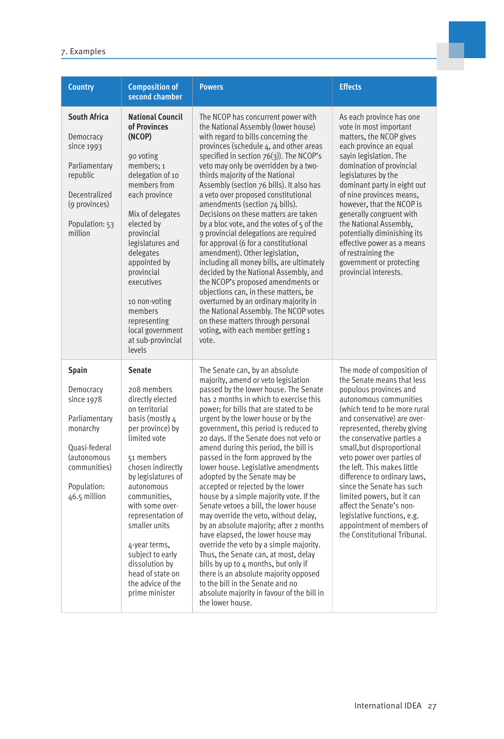| 7. Examples |  |
|-------------|--|
|-------------|--|

| <b>Country</b>                                                                                                                                      | <b>Composition of</b><br>second chamber                                                                                                                                                                                                                                                                                                                                              | <b>Powers</b>                                                                                                                                                                                                                                                                                                                                                                                                                                                                                                                                                                                                                                                                                                                                                                                                                                                                                                                                                                                                   | <b>Effects</b>                                                                                                                                                                                                                                                                                                                                                                                                                                                                                                                                          |
|-----------------------------------------------------------------------------------------------------------------------------------------------------|--------------------------------------------------------------------------------------------------------------------------------------------------------------------------------------------------------------------------------------------------------------------------------------------------------------------------------------------------------------------------------------|-----------------------------------------------------------------------------------------------------------------------------------------------------------------------------------------------------------------------------------------------------------------------------------------------------------------------------------------------------------------------------------------------------------------------------------------------------------------------------------------------------------------------------------------------------------------------------------------------------------------------------------------------------------------------------------------------------------------------------------------------------------------------------------------------------------------------------------------------------------------------------------------------------------------------------------------------------------------------------------------------------------------|---------------------------------------------------------------------------------------------------------------------------------------------------------------------------------------------------------------------------------------------------------------------------------------------------------------------------------------------------------------------------------------------------------------------------------------------------------------------------------------------------------------------------------------------------------|
| <b>South Africa</b><br>Democracy<br>since 1993<br>Parliamentary<br>republic<br>Decentralized<br>(9 provinces)<br>Population: 53<br>million          | <b>National Council</b><br>of Provinces<br>(NCOP)<br>90 voting<br>members; 1<br>delegation of 10<br>members from<br>each province<br>Mix of delegates<br>elected by<br>provincial<br>legislatures and<br>delegates<br>appointed by<br>provincial<br>executives<br>10 non-voting<br>members<br>representing<br>local government<br>at sub-provincial<br>levels                        | The NCOP has concurrent power with<br>the National Assembly (lower house)<br>with regard to bills concerning the<br>provinces (schedule 4, and other areas<br>specified in section $76(3)$ ). The NCOP's<br>veto may only be overridden by a two-<br>thirds majority of the National<br>Assembly (section 76 bills). It also has<br>a veto over proposed constitutional<br>amendments (section 74 bills).<br>Decisions on these matters are taken<br>by a bloc vote, and the votes of 5 of the<br>9 provincial delegations are required<br>for approval (6 for a constitutional<br>amendment). Other legislation,<br>including all money bills, are ultimately<br>decided by the National Assembly, and<br>the NCOP's proposed amendments or<br>objections can, in these matters, be<br>overturned by an ordinary majority in<br>the National Assembly. The NCOP votes<br>on these matters through personal<br>voting, with each member getting 1<br>vote.                                                      | As each province has one<br>vote in most important<br>matters, the NCOP gives<br>each province an equal<br>sayin legislation. The<br>domination of provincial<br>legislatures by the<br>dominant party in eight out<br>of nine provinces means,<br>however, that the NCOP is<br>generally congruent with<br>the National Assembly,<br>potentially diminishing its<br>effective power as a means<br>of restraining the<br>government or protecting<br>provincial interests.                                                                              |
| <b>Spain</b><br>Democracy<br>since 1978<br>Parliamentary<br>monarchy<br>Quasi-federal<br>(autonomous<br>communities)<br>Population:<br>46.5 million | Senate<br>208 members<br>directly elected<br>on territorial<br>basis (mostly 4<br>per province) by<br>limited vote<br>51 members<br>chosen indirectly<br>by legislatures of<br>autonomous<br>communities.<br>with some over-<br>representation of<br>smaller units<br>4-year terms,<br>subject to early<br>dissolution by<br>head of state on<br>the advice of the<br>prime minister | The Senate can, by an absolute<br>majority, amend or veto legislation<br>passed by the lower house. The Senate<br>has 2 months in which to exercise this<br>power; for bills that are stated to be<br>urgent by the lower house or by the<br>government, this period is reduced to<br>20 days. If the Senate does not veto or<br>amend during this period, the bill is<br>passed in the form approved by the<br>lower house. Legislative amendments<br>adopted by the Senate may be<br>accepted or rejected by the lower<br>house by a simple majority vote. If the<br>Senate vetoes a bill, the lower house<br>may override the veto, without delay,<br>by an absolute majority; after 2 months<br>have elapsed, the lower house may<br>override the veto by a simple majority.<br>Thus, the Senate can, at most, delay<br>bills by up to 4 months, but only if<br>there is an absolute majority opposed<br>to the bill in the Senate and no<br>absolute majority in favour of the bill in<br>the lower house. | The mode of composition of<br>the Senate means that less<br>populous provinces and<br>autonomous communities<br>(which tend to be more rural)<br>and conservative) are over-<br>represented, thereby giving<br>the conservative parties a<br>small, but disproportional<br>veto power over parties of<br>the left. This makes little<br>difference to ordinary laws.<br>since the Senate has such<br>limited powers, but it can<br>affect the Senate's non-<br>legislative functions, e.g.<br>appointment of members of<br>the Constitutional Tribunal. |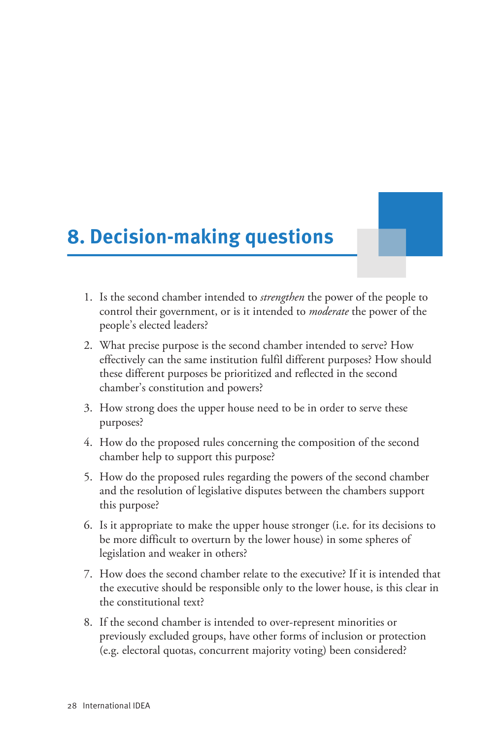# <span id="page-30-0"></span>**8. Decision-making questions**

- 1. Is the second chamber intended to *strengthen* the power of the people to control their government, or is it intended to *moderate* the power of the people's elected leaders?
- 2. What precise purpose is the second chamber intended to serve? How effectively can the same institution fulfil different purposes? How should these different purposes be prioritized and reflected in the second chamber's constitution and powers?
- 3. How strong does the upper house need to be in order to serve these purposes?
- 4. How do the proposed rules concerning the composition of the second chamber help to support this purpose?
- 5. How do the proposed rules regarding the powers of the second chamber and the resolution of legislative disputes between the chambers support this purpose?
- 6. Is it appropriate to make the upper house stronger (i.e. for its decisions to be more difficult to overturn by the lower house) in some spheres of legislation and weaker in others?
- 7. How does the second chamber relate to the executive? If it is intended that the executive should be responsible only to the lower house, is this clear in the constitutional text?
- 8. If the second chamber is intended to over-represent minorities or previously excluded groups, have other forms of inclusion or protection (e.g. electoral quotas, concurrent majority voting) been considered?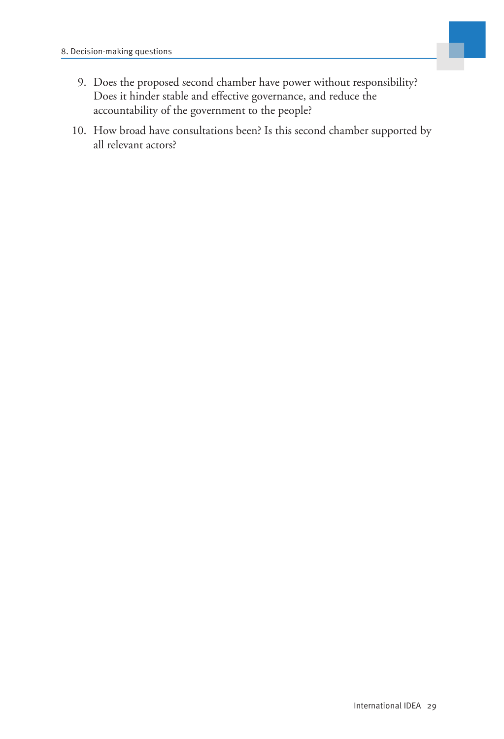

- 9. Does the proposed second chamber have power without responsibility? Does it hinder stable and effective governance, and reduce the accountability of the government to the people?
- 10. How broad have consultations been? Is this second chamber supported by all relevant actors?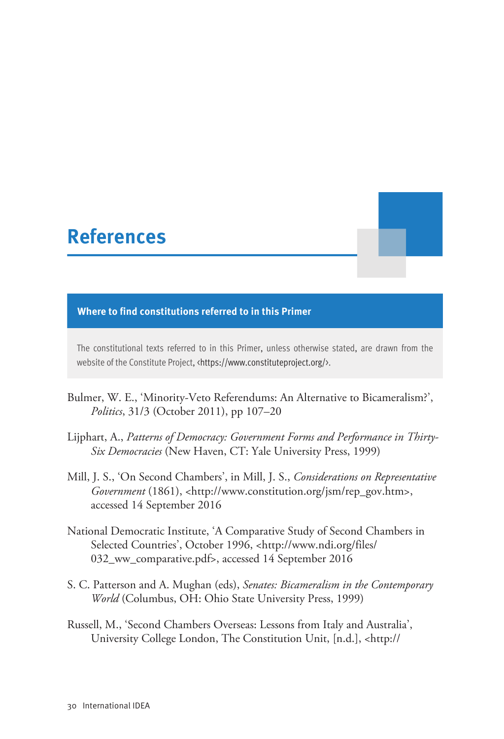# <span id="page-32-0"></span>**References**

#### **Where to find constitutions referred to in this Primer**

The constitutional texts referred to in this Primer, unless otherwise stated, are drawn from the website of the Constitute Project, <<https://www.constituteproject.org/>>.

- Bulmer, W. E., 'Minority-Veto Referendums: An Alternative to Bicameralism?', *Politics*, 31/3 (October 2011), pp 107–20
- Lijphart, A., *Patterns of Democracy: Government Forms and Performance in Thirty-Six Democracies* (New Haven, CT: Yale University Press, 1999)
- Mill, J. S., 'On Second Chambers', in Mill, J. S., *Considerations on Representative Government* (1861), <[http://www.constitution.org/jsm/rep\\_gov.htm](http://www.constitution.org/jsm/rep_gov.htm)>, accessed 14 September 2016
- National Democratic Institute, 'A Comparative Study of Second Chambers in Selected Countries', October 1996, <[http://www.ndi.org/files/](http://www.ndi.org/files/032_ww_comparative.pdf) [032\\_ww\\_comparative.pdf](http://www.ndi.org/files/032_ww_comparative.pdf)>, accessed 14 September 2016
- S. C. Patterson and A. Mughan (eds), *Senates: Bicameralism in the Contemporary World* (Columbus, OH: Ohio State University Press, 1999)
- Russell, M., 'Second Chambers Overseas: Lessons from Italy and Australia', University College London, The Constitution Unit, [n.d.], <[http://](http://www.ucl.ac.uk/constitution-unit/publications/tabs/unit-publications/39.pdf)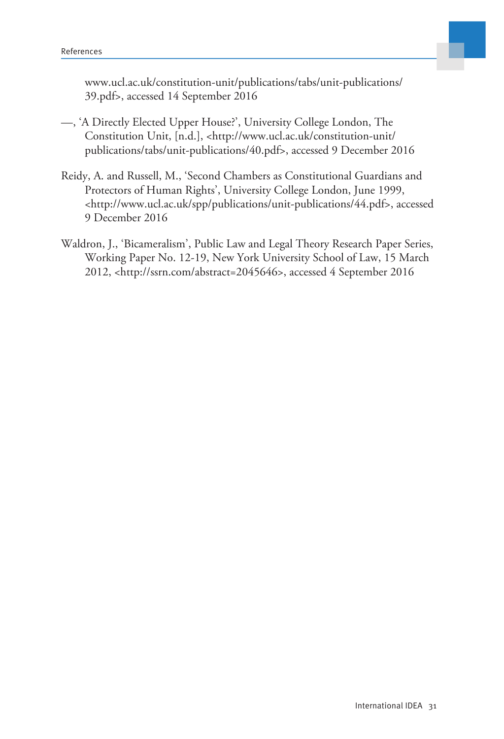

[www.ucl.ac.uk/constitution-unit/publications/tabs/unit-publications/](http://www.ucl.ac.uk/constitution-unit/publications/tabs/unit-publications/39.pdf) [39.pdf](http://www.ucl.ac.uk/constitution-unit/publications/tabs/unit-publications/39.pdf)>, accessed 14 September 2016

- —, 'A Directly Elected Upper House?', University College London, The Constitution Unit, [n.d.], <[http://www.ucl.ac.uk/constitution-unit/](http://www.ucl.ac.uk/constitution-unit/publications/tabs/unit-publications/40.pdf) [publications/tabs/unit-publications/40.pdf>](http://www.ucl.ac.uk/constitution-unit/publications/tabs/unit-publications/40.pdf), accessed 9 December 2016
- Reidy, A. and Russell, M., 'Second Chambers as Constitutional Guardians and Protectors of Human Rights', University College London, June 1999, [<http://www.ucl.ac.uk/spp/publications/unit-publications/44.pdf>](http://www.ucl.ac.uk/spp/publications/unit-publications/44.pdf), accessed 9 December 2016
- Waldron, J., 'Bicameralism', Public Law and Legal Theory Research Paper Series, Working Paper No. 12-19, New York University School of Law, 15 March 2012, <<http://ssrn.com/abstract=2045646>>, accessed 4 September 2016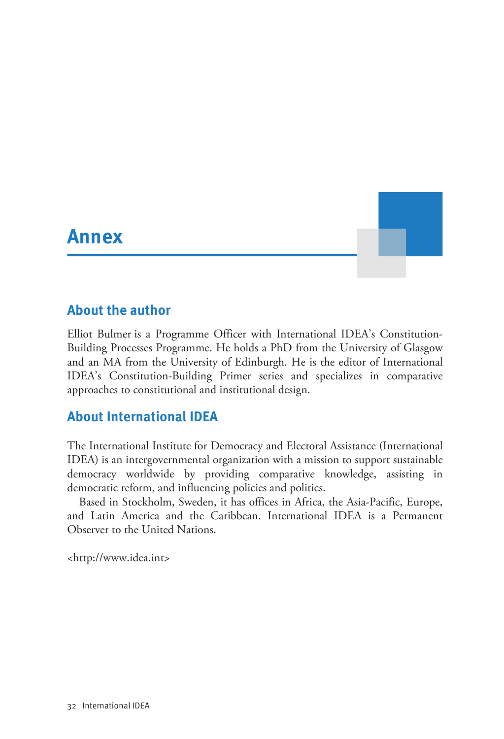# <span id="page-34-0"></span>**Annex Annex Annex** *Annex Annex*

### <span id="page-34-1"></span>**About the author**

Elliot Bulmer is a Programme Officer with International IDEA's Constitution-Building Processes Programme. He holds a PhD from the University of Glasgow and an MA from the University of Edinburgh. He is the editor of International IDEA's Constitution-Building Primer series and specializes in comparative approaches to constitutional and institutional design.

## <span id="page-34-2"></span>**About International IDEA**

The International Institute for Democracy and Electoral Assistance (International IDEA) is an intergovernmental organization with a mission to support sustainable democracy worldwide by providing comparative knowledge, assisting in democratic reform, and influencing policies and politics.

Based in Stockholm, Sweden, it has offices in Africa, the Asia-Pacific, Europe, and Latin America and the Caribbean. International IDEA is a Permanent Observer to the United Nations.

<[http://www.idea.int](http://www.idea.int/)>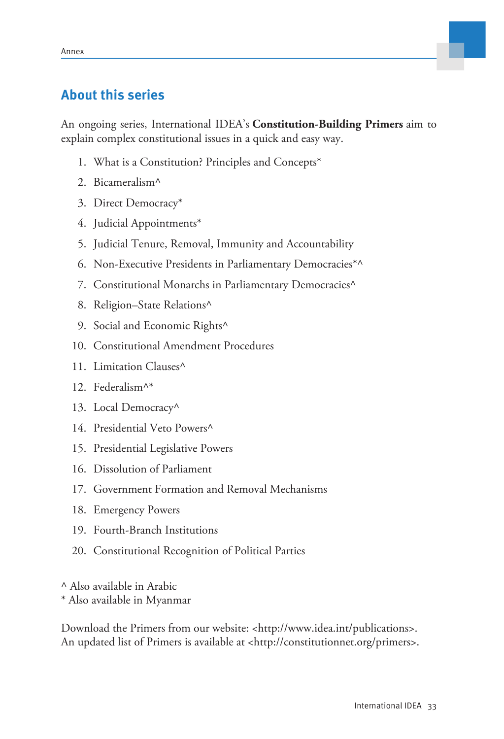## <span id="page-35-0"></span>**About this series**

An ongoing series, International IDEA's **Constitution-Building Primers** aim to explain complex constitutional issues in a quick and easy way.

- 1. What is a Constitution? Principles and Concepts\*
- 2. Bicameralism^
- 3. Direct Democracy\*
- 4. Judicial Appointments\*
- 5. Judicial Tenure, Removal, Immunity and Accountability
- 6. Non-Executive Presidents in Parliamentary Democracies\*^
- 7. Constitutional Monarchs in Parliamentary Democracies^
- 8. Religion–State Relations^
- 9. Social and Economic Rights<sup>^</sup>
- 10. Constitutional Amendment Procedures
- 11. Limitation Clauses^
- 12. Federalism^\*
- 13. Local Democracy^
- 14. Presidential Veto Powers^
- 15. Presidential Legislative Powers
- 16. Dissolution of Parliament
- 17. Government Formation and Removal Mechanisms
- 18. Emergency Powers
- 19. Fourth-Branch Institutions
- 20. Constitutional Recognition of Political Parties

^ Also available in Arabic

\* Also available in Myanmar

Download the Primers from our website: [<http://www.idea.int/publications](http://www.idea.int/publications)>. An updated list of Primers is available at <<http://constitutionnet.org/primers>>.